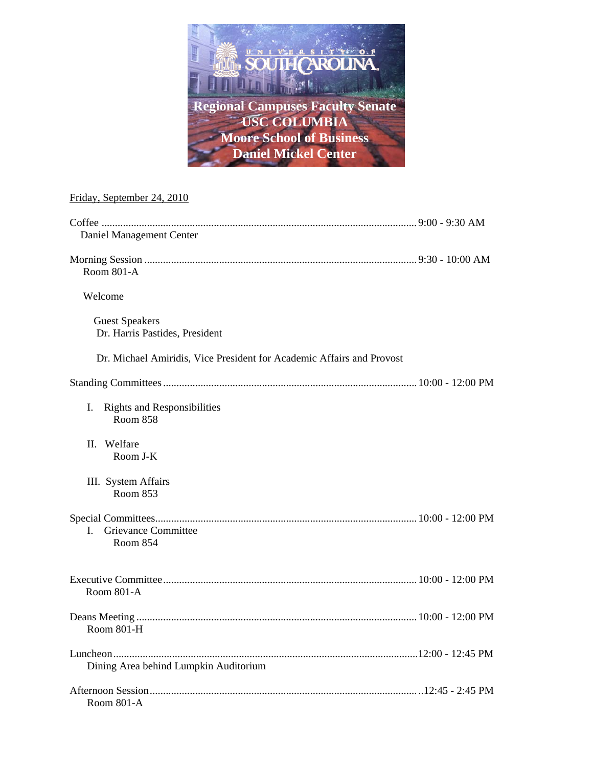

## Friday, September 24, 2010

| Daniel Management Center                                              |  |
|-----------------------------------------------------------------------|--|
| <b>Room 801-A</b>                                                     |  |
| Welcome                                                               |  |
| <b>Guest Speakers</b><br>Dr. Harris Pastides, President               |  |
| Dr. Michael Amiridis, Vice President for Academic Affairs and Provost |  |
|                                                                       |  |
| Ι.<br><b>Rights and Responsibilities</b><br><b>Room 858</b>           |  |
| Welfare<br>H.<br>Room J-K                                             |  |
| III. System Affairs<br>Room 853                                       |  |
| <b>Grievance Committee</b><br>L<br>Room 854                           |  |
| Room 801-A                                                            |  |
| Room 801-H                                                            |  |
| Dining Area behind Lumpkin Auditorium                                 |  |
| Room 801-A                                                            |  |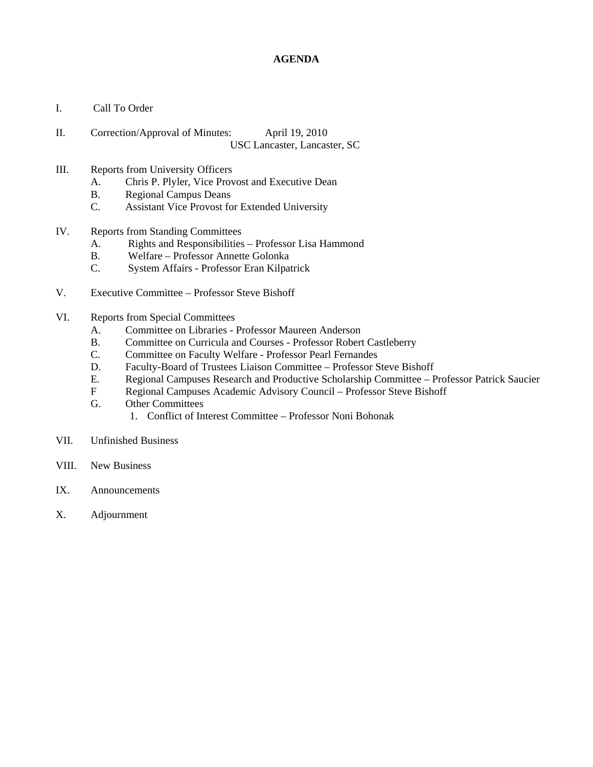#### **AGENDA**

- I. Call To Order
- II. Correction/Approval of Minutes: April 19, 2010 USC Lancaster, Lancaster, SC
- III. Reports from University Officers
	- A. Chris P. Plyler, Vice Provost and Executive Dean
	- B. Regional Campus Deans
	- C. Assistant Vice Provost for Extended University
- IV. Reports from Standing Committees
	- A. Rights and Responsibilities Professor Lisa Hammond
	- B. Welfare Professor Annette Golonka<br>C. System Affairs Professor Eran Kilpat
	- System Affairs Professor Eran Kilpatrick
- V. Executive Committee Professor Steve Bishoff
- VI. Reports from Special Committees
	- A. Committee on Libraries Professor Maureen Anderson
	- B. Committee on Curricula and Courses Professor Robert Castleberry
	- C. Committee on Faculty Welfare Professor Pearl Fernandes
	- D. Faculty-Board of Trustees Liaison Committee Professor Steve Bishoff
	- E. Regional Campuses Research and Productive Scholarship Committee Professor Patrick Saucier
	- F Regional Campuses Academic Advisory Council Professor Steve Bishoff
	- G. Other Committees
		- 1. Conflict of Interest Committee Professor Noni Bohonak
- VII. Unfinished Business
- VIII. New Business
- IX. Announcements
- X. Adjournment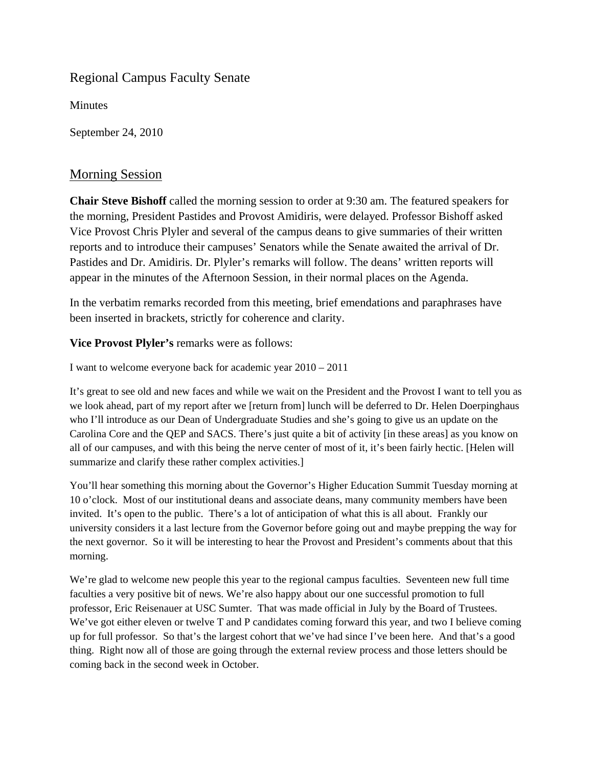# Regional Campus Faculty Senate

Minutes

September 24, 2010

# Morning Session

**Chair Steve Bishoff** called the morning session to order at 9:30 am. The featured speakers for the morning, President Pastides and Provost Amidiris, were delayed. Professor Bishoff asked Vice Provost Chris Plyler and several of the campus deans to give summaries of their written reports and to introduce their campuses' Senators while the Senate awaited the arrival of Dr. Pastides and Dr. Amidiris. Dr. Plyler's remarks will follow. The deans' written reports will appear in the minutes of the Afternoon Session, in their normal places on the Agenda.

In the verbatim remarks recorded from this meeting, brief emendations and paraphrases have been inserted in brackets, strictly for coherence and clarity.

**Vice Provost Plyler's** remarks were as follows:

I want to welcome everyone back for academic year 2010 – 2011

It's great to see old and new faces and while we wait on the President and the Provost I want to tell you as we look ahead, part of my report after we [return from] lunch will be deferred to Dr. Helen Doerpinghaus who I'll introduce as our Dean of Undergraduate Studies and she's going to give us an update on the Carolina Core and the QEP and SACS. There's just quite a bit of activity [in these areas] as you know on all of our campuses, and with this being the nerve center of most of it, it's been fairly hectic. [Helen will summarize and clarify these rather complex activities.]

You'll hear something this morning about the Governor's Higher Education Summit Tuesday morning at 10 o'clock. Most of our institutional deans and associate deans, many community members have been invited. It's open to the public. There's a lot of anticipation of what this is all about. Frankly our university considers it a last lecture from the Governor before going out and maybe prepping the way for the next governor. So it will be interesting to hear the Provost and President's comments about that this morning.

We're glad to welcome new people this year to the regional campus faculties. Seventeen new full time faculties a very positive bit of news. We're also happy about our one successful promotion to full professor, Eric Reisenauer at USC Sumter. That was made official in July by the Board of Trustees. We've got either eleven or twelve T and P candidates coming forward this year, and two I believe coming up for full professor. So that's the largest cohort that we've had since I've been here. And that's a good thing. Right now all of those are going through the external review process and those letters should be coming back in the second week in October.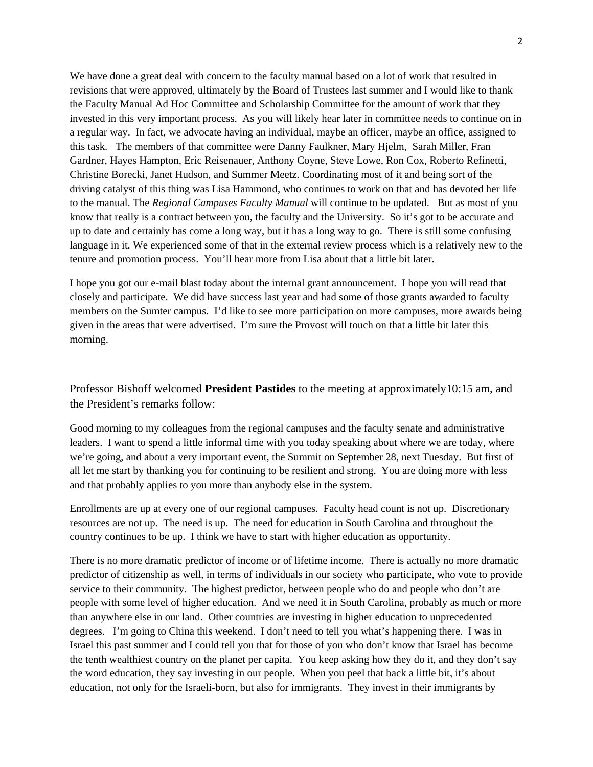We have done a great deal with concern to the faculty manual based on a lot of work that resulted in revisions that were approved, ultimately by the Board of Trustees last summer and I would like to thank the Faculty Manual Ad Hoc Committee and Scholarship Committee for the amount of work that they invested in this very important process. As you will likely hear later in committee needs to continue on in a regular way. In fact, we advocate having an individual, maybe an officer, maybe an office, assigned to this task. The members of that committee were Danny Faulkner, Mary Hjelm, Sarah Miller, Fran Gardner, Hayes Hampton, Eric Reisenauer, Anthony Coyne, Steve Lowe, Ron Cox, Roberto Refinetti, Christine Borecki, Janet Hudson, and Summer Meetz. Coordinating most of it and being sort of the driving catalyst of this thing was Lisa Hammond, who continues to work on that and has devoted her life to the manual. The *Regional Campuses Faculty Manual* will continue to be updated. But as most of you know that really is a contract between you, the faculty and the University. So it's got to be accurate and up to date and certainly has come a long way, but it has a long way to go. There is still some confusing language in it. We experienced some of that in the external review process which is a relatively new to the tenure and promotion process. You'll hear more from Lisa about that a little bit later.

I hope you got our e-mail blast today about the internal grant announcement. I hope you will read that closely and participate. We did have success last year and had some of those grants awarded to faculty members on the Sumter campus. I'd like to see more participation on more campuses, more awards being given in the areas that were advertised. I'm sure the Provost will touch on that a little bit later this morning.

Professor Bishoff welcomed **President Pastides** to the meeting at approximately10:15 am, and the President's remarks follow:

Good morning to my colleagues from the regional campuses and the faculty senate and administrative leaders. I want to spend a little informal time with you today speaking about where we are today, where we're going, and about a very important event, the Summit on September 28, next Tuesday. But first of all let me start by thanking you for continuing to be resilient and strong. You are doing more with less and that probably applies to you more than anybody else in the system.

Enrollments are up at every one of our regional campuses. Faculty head count is not up. Discretionary resources are not up. The need is up. The need for education in South Carolina and throughout the country continues to be up. I think we have to start with higher education as opportunity.

There is no more dramatic predictor of income or of lifetime income. There is actually no more dramatic predictor of citizenship as well, in terms of individuals in our society who participate, who vote to provide service to their community. The highest predictor, between people who do and people who don't are people with some level of higher education. And we need it in South Carolina, probably as much or more than anywhere else in our land. Other countries are investing in higher education to unprecedented degrees. I'm going to China this weekend. I don't need to tell you what's happening there. I was in Israel this past summer and I could tell you that for those of you who don't know that Israel has become the tenth wealthiest country on the planet per capita. You keep asking how they do it, and they don't say the word education, they say investing in our people. When you peel that back a little bit, it's about education, not only for the Israeli-born, but also for immigrants. They invest in their immigrants by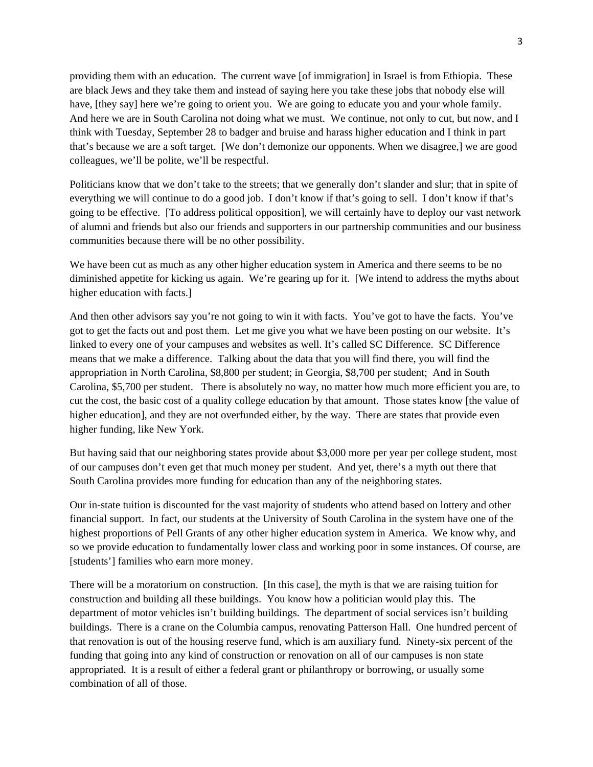providing them with an education. The current wave [of immigration] in Israel is from Ethiopia. These are black Jews and they take them and instead of saying here you take these jobs that nobody else will have, [they say] here we're going to orient you. We are going to educate you and your whole family. And here we are in South Carolina not doing what we must. We continue, not only to cut, but now, and I think with Tuesday, September 28 to badger and bruise and harass higher education and I think in part that's because we are a soft target. [We don't demonize our opponents. When we disagree,] we are good colleagues, we'll be polite, we'll be respectful.

Politicians know that we don't take to the streets; that we generally don't slander and slur; that in spite of everything we will continue to do a good job. I don't know if that's going to sell. I don't know if that's going to be effective. [To address political opposition], we will certainly have to deploy our vast network of alumni and friends but also our friends and supporters in our partnership communities and our business communities because there will be no other possibility.

We have been cut as much as any other higher education system in America and there seems to be no diminished appetite for kicking us again. We're gearing up for it. [We intend to address the myths about higher education with facts.]

And then other advisors say you're not going to win it with facts. You've got to have the facts. You've got to get the facts out and post them. Let me give you what we have been posting on our website. It's linked to every one of your campuses and websites as well. It's called SC Difference. SC Difference means that we make a difference. Talking about the data that you will find there, you will find the appropriation in North Carolina, \$8,800 per student; in Georgia, \$8,700 per student; And in South Carolina, \$5,700 per student. There is absolutely no way, no matter how much more efficient you are, to cut the cost, the basic cost of a quality college education by that amount. Those states know [the value of higher education], and they are not overfunded either, by the way. There are states that provide even higher funding, like New York.

But having said that our neighboring states provide about \$3,000 more per year per college student, most of our campuses don't even get that much money per student. And yet, there's a myth out there that South Carolina provides more funding for education than any of the neighboring states.

Our in-state tuition is discounted for the vast majority of students who attend based on lottery and other financial support. In fact, our students at the University of South Carolina in the system have one of the highest proportions of Pell Grants of any other higher education system in America. We know why, and so we provide education to fundamentally lower class and working poor in some instances. Of course, are [students'] families who earn more money.

There will be a moratorium on construction. [In this case], the myth is that we are raising tuition for construction and building all these buildings. You know how a politician would play this. The department of motor vehicles isn't building buildings. The department of social services isn't building buildings. There is a crane on the Columbia campus, renovating Patterson Hall. One hundred percent of that renovation is out of the housing reserve fund, which is am auxiliary fund. Ninety-six percent of the funding that going into any kind of construction or renovation on all of our campuses is non state appropriated. It is a result of either a federal grant or philanthropy or borrowing, or usually some combination of all of those.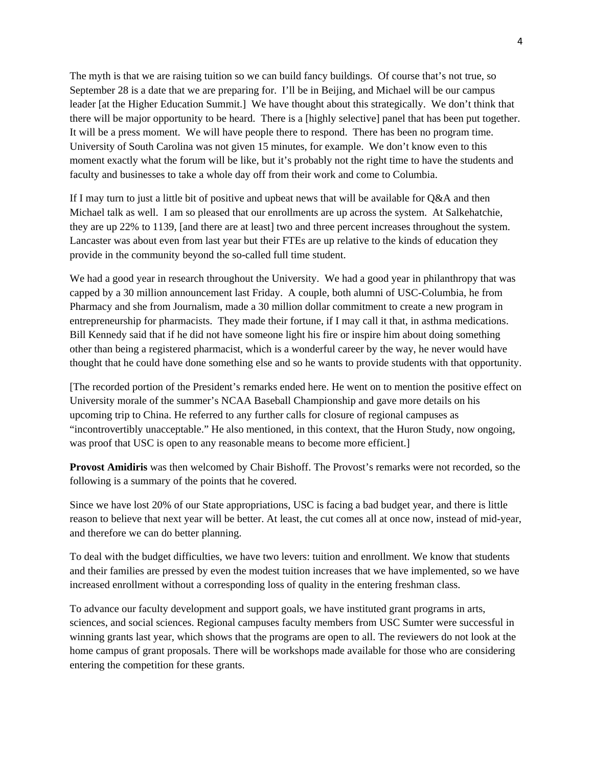The myth is that we are raising tuition so we can build fancy buildings. Of course that's not true, so September 28 is a date that we are preparing for. I'll be in Beijing, and Michael will be our campus leader [at the Higher Education Summit.] We have thought about this strategically. We don't think that there will be major opportunity to be heard. There is a [highly selective] panel that has been put together. It will be a press moment. We will have people there to respond. There has been no program time. University of South Carolina was not given 15 minutes, for example. We don't know even to this moment exactly what the forum will be like, but it's probably not the right time to have the students and faculty and businesses to take a whole day off from their work and come to Columbia.

If I may turn to just a little bit of positive and upbeat news that will be available for  $Q\&A$  and then Michael talk as well. I am so pleased that our enrollments are up across the system. At Salkehatchie, they are up 22% to 1139, [and there are at least] two and three percent increases throughout the system. Lancaster was about even from last year but their FTEs are up relative to the kinds of education they provide in the community beyond the so-called full time student.

We had a good year in research throughout the University. We had a good year in philanthropy that was capped by a 30 million announcement last Friday. A couple, both alumni of USC-Columbia, he from Pharmacy and she from Journalism, made a 30 million dollar commitment to create a new program in entrepreneurship for pharmacists. They made their fortune, if I may call it that, in asthma medications. Bill Kennedy said that if he did not have someone light his fire or inspire him about doing something other than being a registered pharmacist, which is a wonderful career by the way, he never would have thought that he could have done something else and so he wants to provide students with that opportunity.

[The recorded portion of the President's remarks ended here. He went on to mention the positive effect on University morale of the summer's NCAA Baseball Championship and gave more details on his upcoming trip to China. He referred to any further calls for closure of regional campuses as "incontrovertibly unacceptable." He also mentioned, in this context, that the Huron Study, now ongoing, was proof that USC is open to any reasonable means to become more efficient.

**Provost Amidiris** was then welcomed by Chair Bishoff. The Provost's remarks were not recorded, so the following is a summary of the points that he covered.

Since we have lost 20% of our State appropriations, USC is facing a bad budget year, and there is little reason to believe that next year will be better. At least, the cut comes all at once now, instead of mid-year, and therefore we can do better planning.

To deal with the budget difficulties, we have two levers: tuition and enrollment. We know that students and their families are pressed by even the modest tuition increases that we have implemented, so we have increased enrollment without a corresponding loss of quality in the entering freshman class.

To advance our faculty development and support goals, we have instituted grant programs in arts, sciences, and social sciences. Regional campuses faculty members from USC Sumter were successful in winning grants last year, which shows that the programs are open to all. The reviewers do not look at the home campus of grant proposals. There will be workshops made available for those who are considering entering the competition for these grants.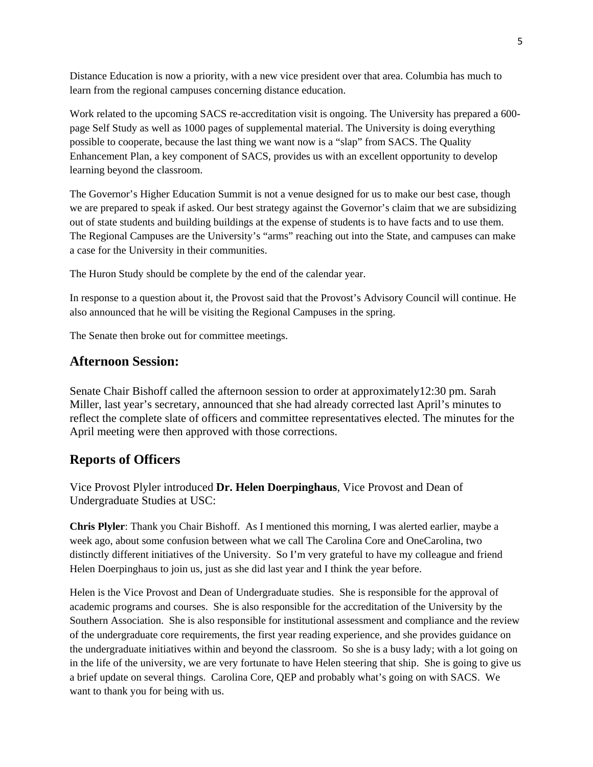Distance Education is now a priority, with a new vice president over that area. Columbia has much to learn from the regional campuses concerning distance education.

Work related to the upcoming SACS re-accreditation visit is ongoing. The University has prepared a 600 page Self Study as well as 1000 pages of supplemental material. The University is doing everything possible to cooperate, because the last thing we want now is a "slap" from SACS. The Quality Enhancement Plan, a key component of SACS, provides us with an excellent opportunity to develop learning beyond the classroom.

The Governor's Higher Education Summit is not a venue designed for us to make our best case, though we are prepared to speak if asked. Our best strategy against the Governor's claim that we are subsidizing out of state students and building buildings at the expense of students is to have facts and to use them. The Regional Campuses are the University's "arms" reaching out into the State, and campuses can make a case for the University in their communities.

The Huron Study should be complete by the end of the calendar year.

In response to a question about it, the Provost said that the Provost's Advisory Council will continue. He also announced that he will be visiting the Regional Campuses in the spring.

The Senate then broke out for committee meetings.

## **Afternoon Session:**

Senate Chair Bishoff called the afternoon session to order at approximately12:30 pm. Sarah Miller, last year's secretary, announced that she had already corrected last April's minutes to reflect the complete slate of officers and committee representatives elected. The minutes for the April meeting were then approved with those corrections.

# **Reports of Officers**

Vice Provost Plyler introduced **Dr. Helen Doerpinghaus**, Vice Provost and Dean of Undergraduate Studies at USC:

**Chris Plyler**: Thank you Chair Bishoff. As I mentioned this morning, I was alerted earlier, maybe a week ago, about some confusion between what we call The Carolina Core and OneCarolina, two distinctly different initiatives of the University. So I'm very grateful to have my colleague and friend Helen Doerpinghaus to join us, just as she did last year and I think the year before.

Helen is the Vice Provost and Dean of Undergraduate studies. She is responsible for the approval of academic programs and courses. She is also responsible for the accreditation of the University by the Southern Association. She is also responsible for institutional assessment and compliance and the review of the undergraduate core requirements, the first year reading experience, and she provides guidance on the undergraduate initiatives within and beyond the classroom. So she is a busy lady; with a lot going on in the life of the university, we are very fortunate to have Helen steering that ship. She is going to give us a brief update on several things. Carolina Core, QEP and probably what's going on with SACS. We want to thank you for being with us.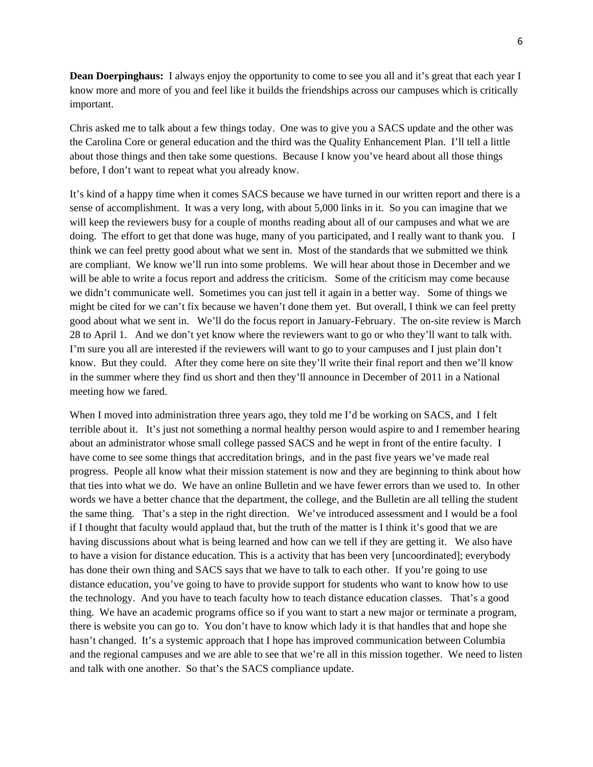**Dean Doerpinghaus:** I always enjoy the opportunity to come to see you all and it's great that each year I know more and more of you and feel like it builds the friendships across our campuses which is critically important.

Chris asked me to talk about a few things today. One was to give you a SACS update and the other was the Carolina Core or general education and the third was the Quality Enhancement Plan. I'll tell a little about those things and then take some questions. Because I know you've heard about all those things before, I don't want to repeat what you already know.

It's kind of a happy time when it comes SACS because we have turned in our written report and there is a sense of accomplishment. It was a very long, with about 5,000 links in it. So you can imagine that we will keep the reviewers busy for a couple of months reading about all of our campuses and what we are doing. The effort to get that done was huge, many of you participated, and I really want to thank you. I think we can feel pretty good about what we sent in. Most of the standards that we submitted we think are compliant. We know we'll run into some problems. We will hear about those in December and we will be able to write a focus report and address the criticism. Some of the criticism may come because we didn't communicate well. Sometimes you can just tell it again in a better way. Some of things we might be cited for we can't fix because we haven't done them yet. But overall, I think we can feel pretty good about what we sent in. We'll do the focus report in January-February. The on-site review is March 28 to April 1. And we don't yet know where the reviewers want to go or who they'll want to talk with. I'm sure you all are interested if the reviewers will want to go to your campuses and I just plain don't know. But they could. After they come here on site they'll write their final report and then we'll know in the summer where they find us short and then they'll announce in December of 2011 in a National meeting how we fared.

When I moved into administration three years ago, they told me I'd be working on SACS, and I felt terrible about it. It's just not something a normal healthy person would aspire to and I remember hearing about an administrator whose small college passed SACS and he wept in front of the entire faculty. I have come to see some things that accreditation brings, and in the past five years we've made real progress. People all know what their mission statement is now and they are beginning to think about how that ties into what we do. We have an online Bulletin and we have fewer errors than we used to. In other words we have a better chance that the department, the college, and the Bulletin are all telling the student the same thing. That's a step in the right direction. We've introduced assessment and I would be a fool if I thought that faculty would applaud that, but the truth of the matter is I think it's good that we are having discussions about what is being learned and how can we tell if they are getting it. We also have to have a vision for distance education. This is a activity that has been very [uncoordinated]; everybody has done their own thing and SACS says that we have to talk to each other. If you're going to use distance education, you've going to have to provide support for students who want to know how to use the technology. And you have to teach faculty how to teach distance education classes. That's a good thing. We have an academic programs office so if you want to start a new major or terminate a program, there is website you can go to. You don't have to know which lady it is that handles that and hope she hasn't changed. It's a systemic approach that I hope has improved communication between Columbia and the regional campuses and we are able to see that we're all in this mission together. We need to listen and talk with one another. So that's the SACS compliance update.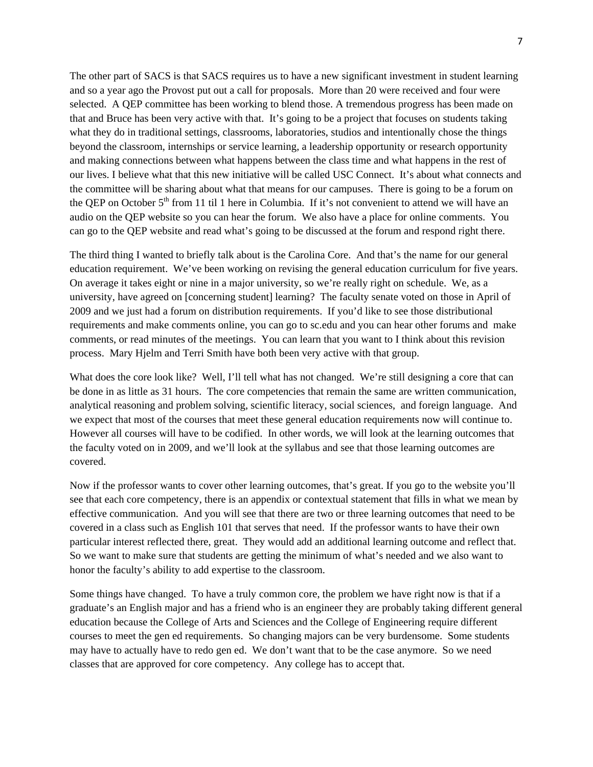The other part of SACS is that SACS requires us to have a new significant investment in student learning and so a year ago the Provost put out a call for proposals. More than 20 were received and four were selected. A QEP committee has been working to blend those. A tremendous progress has been made on that and Bruce has been very active with that. It's going to be a project that focuses on students taking what they do in traditional settings, classrooms, laboratories, studios and intentionally chose the things beyond the classroom, internships or service learning, a leadership opportunity or research opportunity and making connections between what happens between the class time and what happens in the rest of our lives. I believe what that this new initiative will be called USC Connect. It's about what connects and the committee will be sharing about what that means for our campuses. There is going to be a forum on the QEP on October 5<sup>th</sup> from 11 til 1 here in Columbia. If it's not convenient to attend we will have an audio on the QEP website so you can hear the forum. We also have a place for online comments. You can go to the QEP website and read what's going to be discussed at the forum and respond right there.

The third thing I wanted to briefly talk about is the Carolina Core. And that's the name for our general education requirement. We've been working on revising the general education curriculum for five years. On average it takes eight or nine in a major university, so we're really right on schedule. We, as a university, have agreed on [concerning student] learning? The faculty senate voted on those in April of 2009 and we just had a forum on distribution requirements. If you'd like to see those distributional requirements and make comments online, you can go to sc.edu and you can hear other forums and make comments, or read minutes of the meetings. You can learn that you want to I think about this revision process. Mary Hjelm and Terri Smith have both been very active with that group.

What does the core look like? Well, I'll tell what has not changed. We're still designing a core that can be done in as little as 31 hours. The core competencies that remain the same are written communication, analytical reasoning and problem solving, scientific literacy, social sciences, and foreign language. And we expect that most of the courses that meet these general education requirements now will continue to. However all courses will have to be codified. In other words, we will look at the learning outcomes that the faculty voted on in 2009, and we'll look at the syllabus and see that those learning outcomes are covered.

Now if the professor wants to cover other learning outcomes, that's great. If you go to the website you'll see that each core competency, there is an appendix or contextual statement that fills in what we mean by effective communication. And you will see that there are two or three learning outcomes that need to be covered in a class such as English 101 that serves that need. If the professor wants to have their own particular interest reflected there, great. They would add an additional learning outcome and reflect that. So we want to make sure that students are getting the minimum of what's needed and we also want to honor the faculty's ability to add expertise to the classroom.

Some things have changed. To have a truly common core, the problem we have right now is that if a graduate's an English major and has a friend who is an engineer they are probably taking different general education because the College of Arts and Sciences and the College of Engineering require different courses to meet the gen ed requirements. So changing majors can be very burdensome. Some students may have to actually have to redo gen ed. We don't want that to be the case anymore. So we need classes that are approved for core competency. Any college has to accept that.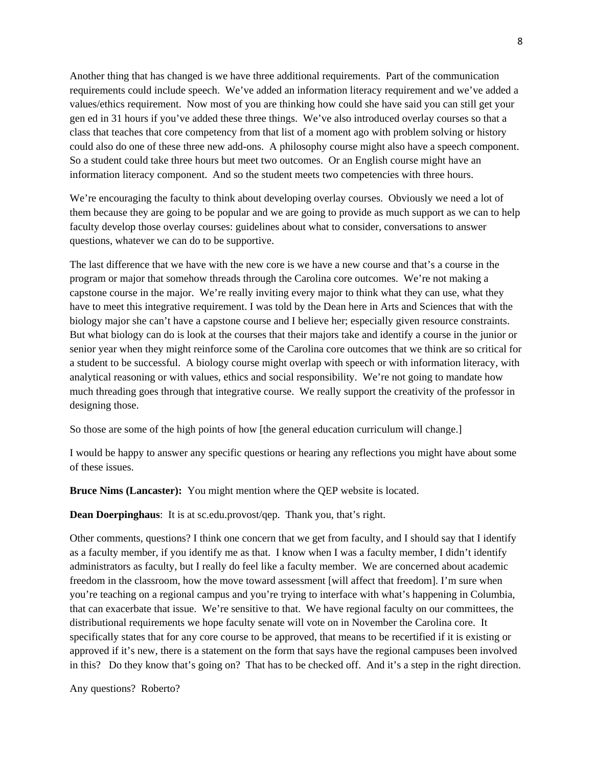Another thing that has changed is we have three additional requirements. Part of the communication requirements could include speech. We've added an information literacy requirement and we've added a values/ethics requirement. Now most of you are thinking how could she have said you can still get your gen ed in 31 hours if you've added these three things. We've also introduced overlay courses so that a class that teaches that core competency from that list of a moment ago with problem solving or history could also do one of these three new add-ons. A philosophy course might also have a speech component. So a student could take three hours but meet two outcomes. Or an English course might have an information literacy component. And so the student meets two competencies with three hours.

We're encouraging the faculty to think about developing overlay courses. Obviously we need a lot of them because they are going to be popular and we are going to provide as much support as we can to help faculty develop those overlay courses: guidelines about what to consider, conversations to answer questions, whatever we can do to be supportive.

The last difference that we have with the new core is we have a new course and that's a course in the program or major that somehow threads through the Carolina core outcomes. We're not making a capstone course in the major. We're really inviting every major to think what they can use, what they have to meet this integrative requirement. I was told by the Dean here in Arts and Sciences that with the biology major she can't have a capstone course and I believe her; especially given resource constraints. But what biology can do is look at the courses that their majors take and identify a course in the junior or senior year when they might reinforce some of the Carolina core outcomes that we think are so critical for a student to be successful. A biology course might overlap with speech or with information literacy, with analytical reasoning or with values, ethics and social responsibility. We're not going to mandate how much threading goes through that integrative course. We really support the creativity of the professor in designing those.

So those are some of the high points of how [the general education curriculum will change.]

I would be happy to answer any specific questions or hearing any reflections you might have about some of these issues.

**Bruce Nims (Lancaster):** You might mention where the QEP website is located.

**Dean Doerpinghaus**: It is at sc.edu.provost/qep. Thank you, that's right.

Other comments, questions? I think one concern that we get from faculty, and I should say that I identify as a faculty member, if you identify me as that. I know when I was a faculty member, I didn't identify administrators as faculty, but I really do feel like a faculty member. We are concerned about academic freedom in the classroom, how the move toward assessment [will affect that freedom]. I'm sure when you're teaching on a regional campus and you're trying to interface with what's happening in Columbia, that can exacerbate that issue. We're sensitive to that. We have regional faculty on our committees, the distributional requirements we hope faculty senate will vote on in November the Carolina core. It specifically states that for any core course to be approved, that means to be recertified if it is existing or approved if it's new, there is a statement on the form that says have the regional campuses been involved in this? Do they know that's going on? That has to be checked off. And it's a step in the right direction.

Any questions? Roberto?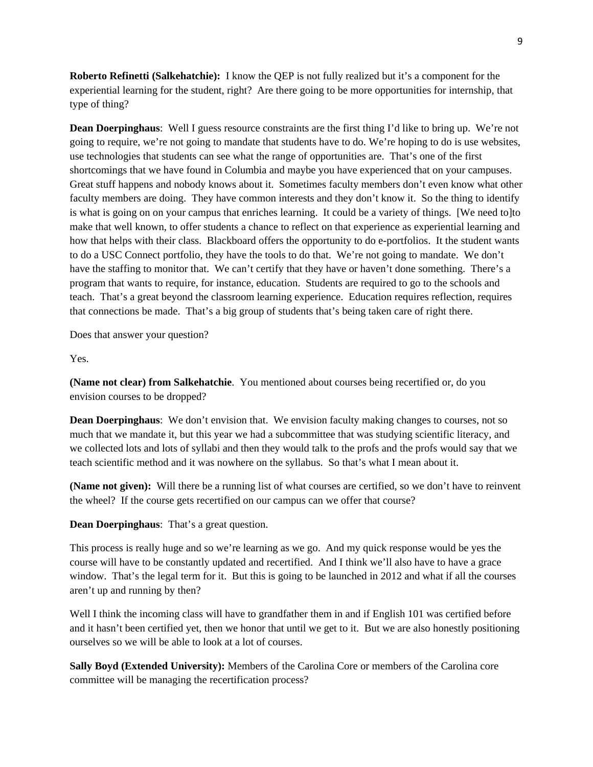**Roberto Refinetti (Salkehatchie):** I know the QEP is not fully realized but it's a component for the experiential learning for the student, right? Are there going to be more opportunities for internship, that type of thing?

**Dean Doerpinghaus**: Well I guess resource constraints are the first thing I'd like to bring up. We're not going to require, we're not going to mandate that students have to do. We're hoping to do is use websites, use technologies that students can see what the range of opportunities are. That's one of the first shortcomings that we have found in Columbia and maybe you have experienced that on your campuses. Great stuff happens and nobody knows about it. Sometimes faculty members don't even know what other faculty members are doing. They have common interests and they don't know it. So the thing to identify is what is going on on your campus that enriches learning. It could be a variety of things. [We need to]to make that well known, to offer students a chance to reflect on that experience as experiential learning and how that helps with their class. Blackboard offers the opportunity to do e-portfolios. It the student wants to do a USC Connect portfolio, they have the tools to do that. We're not going to mandate. We don't have the staffing to monitor that. We can't certify that they have or haven't done something. There's a program that wants to require, for instance, education. Students are required to go to the schools and teach. That's a great beyond the classroom learning experience. Education requires reflection, requires that connections be made. That's a big group of students that's being taken care of right there.

Does that answer your question?

Yes.

**(Name not clear) from Salkehatchie**. You mentioned about courses being recertified or, do you envision courses to be dropped?

**Dean Doerpinghaus**: We don't envision that. We envision faculty making changes to courses, not so much that we mandate it, but this year we had a subcommittee that was studying scientific literacy, and we collected lots and lots of syllabi and then they would talk to the profs and the profs would say that we teach scientific method and it was nowhere on the syllabus. So that's what I mean about it.

**(Name not given):** Will there be a running list of what courses are certified, so we don't have to reinvent the wheel? If the course gets recertified on our campus can we offer that course?

**Dean Doerpinghaus**: That's a great question.

This process is really huge and so we're learning as we go. And my quick response would be yes the course will have to be constantly updated and recertified. And I think we'll also have to have a grace window. That's the legal term for it. But this is going to be launched in 2012 and what if all the courses aren't up and running by then?

Well I think the incoming class will have to grandfather them in and if English 101 was certified before and it hasn't been certified yet, then we honor that until we get to it. But we are also honestly positioning ourselves so we will be able to look at a lot of courses.

**Sally Boyd (Extended University):** Members of the Carolina Core or members of the Carolina core committee will be managing the recertification process?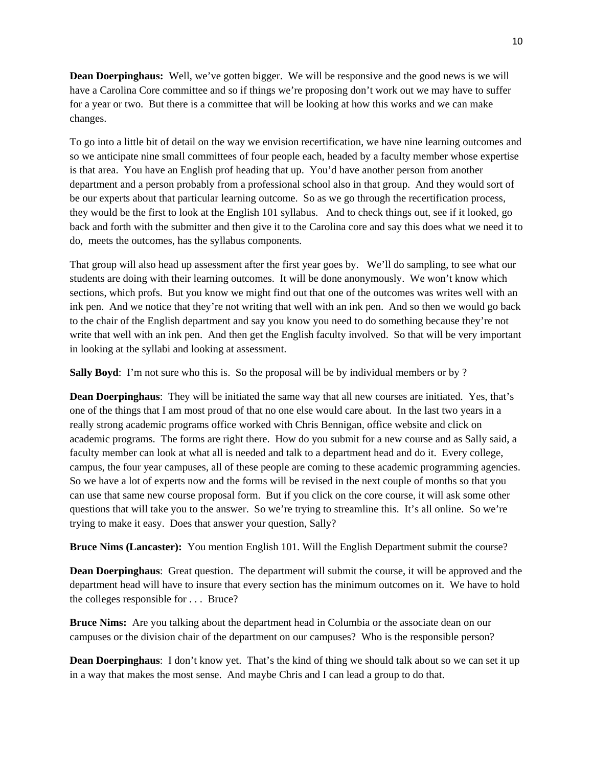**Dean Doerpinghaus:** Well, we've gotten bigger. We will be responsive and the good news is we will have a Carolina Core committee and so if things we're proposing don't work out we may have to suffer for a year or two. But there is a committee that will be looking at how this works and we can make changes.

To go into a little bit of detail on the way we envision recertification, we have nine learning outcomes and so we anticipate nine small committees of four people each, headed by a faculty member whose expertise is that area. You have an English prof heading that up. You'd have another person from another department and a person probably from a professional school also in that group. And they would sort of be our experts about that particular learning outcome. So as we go through the recertification process, they would be the first to look at the English 101 syllabus. And to check things out, see if it looked, go back and forth with the submitter and then give it to the Carolina core and say this does what we need it to do, meets the outcomes, has the syllabus components.

That group will also head up assessment after the first year goes by. We'll do sampling, to see what our students are doing with their learning outcomes. It will be done anonymously. We won't know which sections, which profs. But you know we might find out that one of the outcomes was writes well with an ink pen. And we notice that they're not writing that well with an ink pen. And so then we would go back to the chair of the English department and say you know you need to do something because they're not write that well with an ink pen. And then get the English faculty involved. So that will be very important in looking at the syllabi and looking at assessment.

**Sally Boyd:** I'm not sure who this is. So the proposal will be by individual members or by ?

**Dean Doerpinghaus**: They will be initiated the same way that all new courses are initiated. Yes, that's one of the things that I am most proud of that no one else would care about. In the last two years in a really strong academic programs office worked with Chris Bennigan, office website and click on academic programs. The forms are right there. How do you submit for a new course and as Sally said, a faculty member can look at what all is needed and talk to a department head and do it. Every college, campus, the four year campuses, all of these people are coming to these academic programming agencies. So we have a lot of experts now and the forms will be revised in the next couple of months so that you can use that same new course proposal form. But if you click on the core course, it will ask some other questions that will take you to the answer. So we're trying to streamline this. It's all online. So we're trying to make it easy. Does that answer your question, Sally?

**Bruce Nims (Lancaster):** You mention English 101. Will the English Department submit the course?

**Dean Doerpinghaus**: Great question. The department will submit the course, it will be approved and the department head will have to insure that every section has the minimum outcomes on it. We have to hold the colleges responsible for . . . Bruce?

**Bruce Nims:** Are you talking about the department head in Columbia or the associate dean on our campuses or the division chair of the department on our campuses? Who is the responsible person?

**Dean Doerpinghaus**: I don't know yet. That's the kind of thing we should talk about so we can set it up in a way that makes the most sense. And maybe Chris and I can lead a group to do that.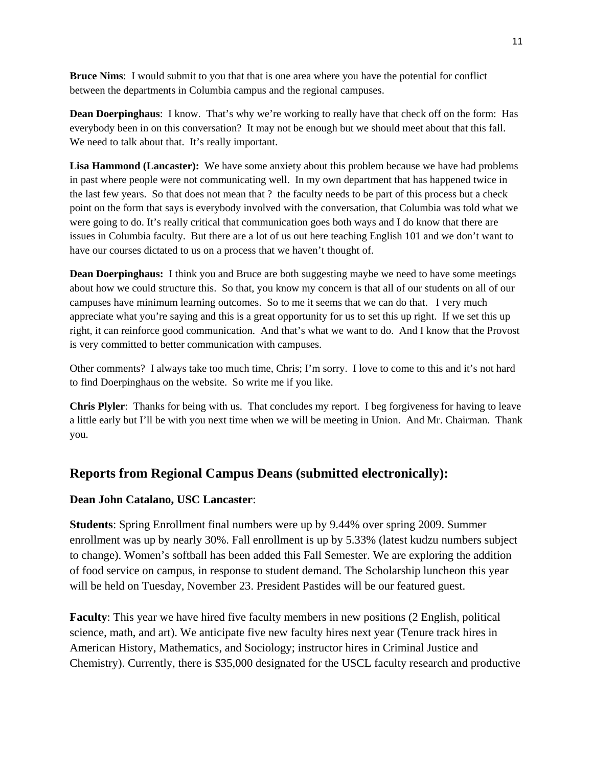**Bruce Nims**: I would submit to you that that is one area where you have the potential for conflict between the departments in Columbia campus and the regional campuses.

**Dean Doerpinghaus**: I know. That's why we're working to really have that check off on the form: Has everybody been in on this conversation? It may not be enough but we should meet about that this fall. We need to talk about that. It's really important.

**Lisa Hammond (Lancaster):** We have some anxiety about this problem because we have had problems in past where people were not communicating well. In my own department that has happened twice in the last few years. So that does not mean that ? the faculty needs to be part of this process but a check point on the form that says is everybody involved with the conversation, that Columbia was told what we were going to do. It's really critical that communication goes both ways and I do know that there are issues in Columbia faculty. But there are a lot of us out here teaching English 101 and we don't want to have our courses dictated to us on a process that we haven't thought of.

**Dean Doerpinghaus:** I think you and Bruce are both suggesting maybe we need to have some meetings about how we could structure this. So that, you know my concern is that all of our students on all of our campuses have minimum learning outcomes. So to me it seems that we can do that. I very much appreciate what you're saying and this is a great opportunity for us to set this up right. If we set this up right, it can reinforce good communication. And that's what we want to do. And I know that the Provost is very committed to better communication with campuses.

Other comments? I always take too much time, Chris; I'm sorry. I love to come to this and it's not hard to find Doerpinghaus on the website. So write me if you like.

**Chris Plyler**: Thanks for being with us. That concludes my report. I beg forgiveness for having to leave a little early but I'll be with you next time when we will be meeting in Union. And Mr. Chairman. Thank you.

# **Reports from Regional Campus Deans (submitted electronically):**

## **Dean John Catalano, USC Lancaster**:

**Students**: Spring Enrollment final numbers were up by 9.44% over spring 2009. Summer enrollment was up by nearly 30%. Fall enrollment is up by 5.33% (latest kudzu numbers subject to change). Women's softball has been added this Fall Semester. We are exploring the addition of food service on campus, in response to student demand. The Scholarship luncheon this year will be held on Tuesday, November 23. President Pastides will be our featured guest.

**Faculty**: This year we have hired five faculty members in new positions (2 English, political science, math, and art). We anticipate five new faculty hires next year (Tenure track hires in American History, Mathematics, and Sociology; instructor hires in Criminal Justice and Chemistry). Currently, there is \$35,000 designated for the USCL faculty research and productive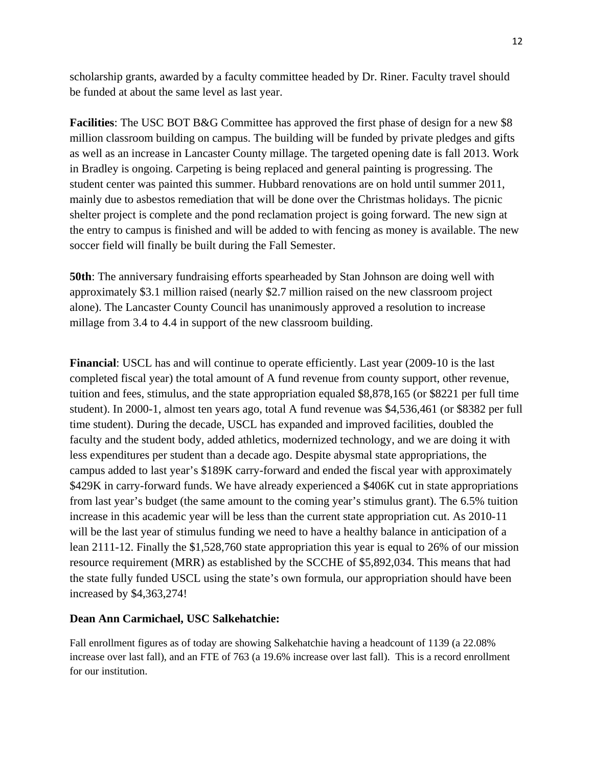scholarship grants, awarded by a faculty committee headed by Dr. Riner. Faculty travel should be funded at about the same level as last year.

**Facilities**: The USC BOT B&G Committee has approved the first phase of design for a new \$8 million classroom building on campus. The building will be funded by private pledges and gifts as well as an increase in Lancaster County millage. The targeted opening date is fall 2013. Work in Bradley is ongoing. Carpeting is being replaced and general painting is progressing. The student center was painted this summer. Hubbard renovations are on hold until summer 2011, mainly due to asbestos remediation that will be done over the Christmas holidays. The picnic shelter project is complete and the pond reclamation project is going forward. The new sign at the entry to campus is finished and will be added to with fencing as money is available. The new soccer field will finally be built during the Fall Semester.

**50th**: The anniversary fundraising efforts spearheaded by Stan Johnson are doing well with approximately \$3.1 million raised (nearly \$2.7 million raised on the new classroom project alone). The Lancaster County Council has unanimously approved a resolution to increase millage from 3.4 to 4.4 in support of the new classroom building.

**Financial**: USCL has and will continue to operate efficiently. Last year (2009-10 is the last completed fiscal year) the total amount of A fund revenue from county support, other revenue, tuition and fees, stimulus, and the state appropriation equaled \$8,878,165 (or \$8221 per full time student). In 2000-1, almost ten years ago, total A fund revenue was \$4,536,461 (or \$8382 per full time student). During the decade, USCL has expanded and improved facilities, doubled the faculty and the student body, added athletics, modernized technology, and we are doing it with less expenditures per student than a decade ago. Despite abysmal state appropriations, the campus added to last year's \$189K carry-forward and ended the fiscal year with approximately \$429K in carry-forward funds. We have already experienced a \$406K cut in state appropriations from last year's budget (the same amount to the coming year's stimulus grant). The 6.5% tuition increase in this academic year will be less than the current state appropriation cut. As 2010-11 will be the last year of stimulus funding we need to have a healthy balance in anticipation of a lean 2111-12. Finally the \$1,528,760 state appropriation this year is equal to 26% of our mission resource requirement (MRR) as established by the SCCHE of \$5,892,034. This means that had the state fully funded USCL using the state's own formula, our appropriation should have been increased by \$4,363,274!

### **Dean Ann Carmichael, USC Salkehatchie:**

Fall enrollment figures as of today are showing Salkehatchie having a headcount of 1139 (a 22.08% increase over last fall), and an FTE of 763 (a 19.6% increase over last fall). This is a record enrollment for our institution.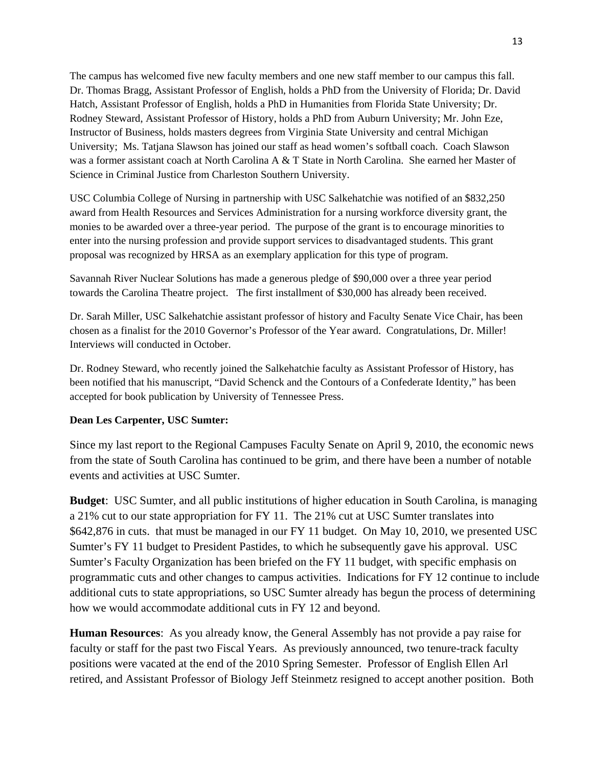The campus has welcomed five new faculty members and one new staff member to our campus this fall. Dr. Thomas Bragg, Assistant Professor of English, holds a PhD from the University of Florida; Dr. David Hatch, Assistant Professor of English, holds a PhD in Humanities from Florida State University; Dr. Rodney Steward, Assistant Professor of History, holds a PhD from Auburn University; Mr. John Eze, Instructor of Business, holds masters degrees from Virginia State University and central Michigan University; Ms. Tatjana Slawson has joined our staff as head women's softball coach. Coach Slawson was a former assistant coach at North Carolina A & T State in North Carolina. She earned her Master of Science in Criminal Justice from Charleston Southern University.

USC Columbia College of Nursing in partnership with USC Salkehatchie was notified of an \$832,250 award from Health Resources and Services Administration for a nursing workforce diversity grant, the monies to be awarded over a three-year period. The purpose of the grant is to encourage minorities to enter into the nursing profession and provide support services to disadvantaged students. This grant proposal was recognized by HRSA as an exemplary application for this type of program.

Savannah River Nuclear Solutions has made a generous pledge of \$90,000 over a three year period towards the Carolina Theatre project. The first installment of \$30,000 has already been received.

Dr. Sarah Miller, USC Salkehatchie assistant professor of history and Faculty Senate Vice Chair, has been chosen as a finalist for the 2010 Governor's Professor of the Year award. Congratulations, Dr. Miller! Interviews will conducted in October.

Dr. Rodney Steward, who recently joined the Salkehatchie faculty as Assistant Professor of History, has been notified that his manuscript, "David Schenck and the Contours of a Confederate Identity," has been accepted for book publication by University of Tennessee Press.

#### **Dean Les Carpenter, USC Sumter:**

Since my last report to the Regional Campuses Faculty Senate on April 9, 2010, the economic news from the state of South Carolina has continued to be grim, and there have been a number of notable events and activities at USC Sumter.

**Budget**: USC Sumter, and all public institutions of higher education in South Carolina, is managing a 21% cut to our state appropriation for FY 11. The 21% cut at USC Sumter translates into \$642,876 in cuts. that must be managed in our FY 11 budget. On May 10, 2010, we presented USC Sumter's FY 11 budget to President Pastides, to which he subsequently gave his approval. USC Sumter's Faculty Organization has been briefed on the FY 11 budget, with specific emphasis on programmatic cuts and other changes to campus activities. Indications for FY 12 continue to include additional cuts to state appropriations, so USC Sumter already has begun the process of determining how we would accommodate additional cuts in FY 12 and beyond.

**Human Resources**: As you already know, the General Assembly has not provide a pay raise for faculty or staff for the past two Fiscal Years. As previously announced, two tenure-track faculty positions were vacated at the end of the 2010 Spring Semester. Professor of English Ellen Arl retired, and Assistant Professor of Biology Jeff Steinmetz resigned to accept another position. Both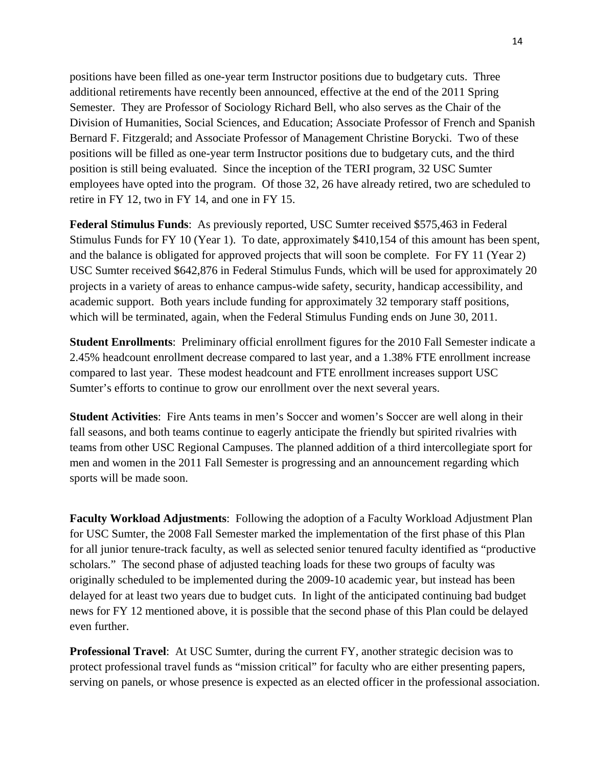positions have been filled as one-year term Instructor positions due to budgetary cuts. Three additional retirements have recently been announced, effective at the end of the 2011 Spring Semester. They are Professor of Sociology Richard Bell, who also serves as the Chair of the Division of Humanities, Social Sciences, and Education; Associate Professor of French and Spanish Bernard F. Fitzgerald; and Associate Professor of Management Christine Borycki. Two of these positions will be filled as one-year term Instructor positions due to budgetary cuts, and the third position is still being evaluated. Since the inception of the TERI program, 32 USC Sumter employees have opted into the program. Of those 32, 26 have already retired, two are scheduled to retire in FY 12, two in FY 14, and one in FY 15.

**Federal Stimulus Funds**: As previously reported, USC Sumter received \$575,463 in Federal Stimulus Funds for FY 10 (Year 1). To date, approximately \$410,154 of this amount has been spent, and the balance is obligated for approved projects that will soon be complete. For FY 11 (Year 2) USC Sumter received \$642,876 in Federal Stimulus Funds, which will be used for approximately 20 projects in a variety of areas to enhance campus-wide safety, security, handicap accessibility, and academic support. Both years include funding for approximately 32 temporary staff positions, which will be terminated, again, when the Federal Stimulus Funding ends on June 30, 2011.

**Student Enrollments**: Preliminary official enrollment figures for the 2010 Fall Semester indicate a 2.45% headcount enrollment decrease compared to last year, and a 1.38% FTE enrollment increase compared to last year. These modest headcount and FTE enrollment increases support USC Sumter's efforts to continue to grow our enrollment over the next several years.

**Student Activities**: Fire Ants teams in men's Soccer and women's Soccer are well along in their fall seasons, and both teams continue to eagerly anticipate the friendly but spirited rivalries with teams from other USC Regional Campuses. The planned addition of a third intercollegiate sport for men and women in the 2011 Fall Semester is progressing and an announcement regarding which sports will be made soon.

**Faculty Workload Adjustments**: Following the adoption of a Faculty Workload Adjustment Plan for USC Sumter, the 2008 Fall Semester marked the implementation of the first phase of this Plan for all junior tenure-track faculty, as well as selected senior tenured faculty identified as "productive scholars." The second phase of adjusted teaching loads for these two groups of faculty was originally scheduled to be implemented during the 2009-10 academic year, but instead has been delayed for at least two years due to budget cuts. In light of the anticipated continuing bad budget news for FY 12 mentioned above, it is possible that the second phase of this Plan could be delayed even further.

**Professional Travel**: At USC Sumter, during the current FY, another strategic decision was to protect professional travel funds as "mission critical" for faculty who are either presenting papers, serving on panels, or whose presence is expected as an elected officer in the professional association.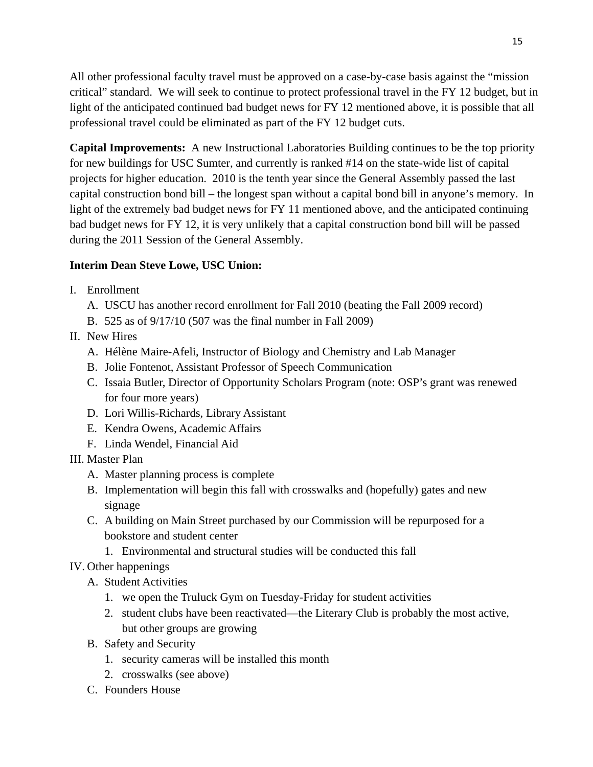All other professional faculty travel must be approved on a case-by-case basis against the "mission critical" standard. We will seek to continue to protect professional travel in the FY 12 budget, but in light of the anticipated continued bad budget news for FY 12 mentioned above, it is possible that all professional travel could be eliminated as part of the FY 12 budget cuts.

**Capital Improvements:** A new Instructional Laboratories Building continues to be the top priority for new buildings for USC Sumter, and currently is ranked #14 on the state-wide list of capital projects for higher education. 2010 is the tenth year since the General Assembly passed the last capital construction bond bill – the longest span without a capital bond bill in anyone's memory. In light of the extremely bad budget news for FY 11 mentioned above, and the anticipated continuing bad budget news for FY 12, it is very unlikely that a capital construction bond bill will be passed during the 2011 Session of the General Assembly.

# **Interim Dean Steve Lowe, USC Union:**

- I. Enrollment
	- A. USCU has another record enrollment for Fall 2010 (beating the Fall 2009 record)
	- B. 525 as of 9/17/10 (507 was the final number in Fall 2009)
- II. New Hires
	- A. Hélène Maire-Afeli, Instructor of Biology and Chemistry and Lab Manager
	- B. Jolie Fontenot, Assistant Professor of Speech Communication
	- C. Issaia Butler, Director of Opportunity Scholars Program (note: OSP's grant was renewed for four more years)
	- D. Lori Willis-Richards, Library Assistant
	- E. Kendra Owens, Academic Affairs
	- F. Linda Wendel, Financial Aid
- III. Master Plan
	- A. Master planning process is complete
	- B. Implementation will begin this fall with crosswalks and (hopefully) gates and new signage
	- C. A building on Main Street purchased by our Commission will be repurposed for a bookstore and student center
		- 1. Environmental and structural studies will be conducted this fall
- IV. Other happenings
	- A. Student Activities
		- 1. we open the Truluck Gym on Tuesday-Friday for student activities
		- 2. student clubs have been reactivated—the Literary Club is probably the most active, but other groups are growing
	- B. Safety and Security
		- 1. security cameras will be installed this month
		- 2. crosswalks (see above)
	- C. Founders House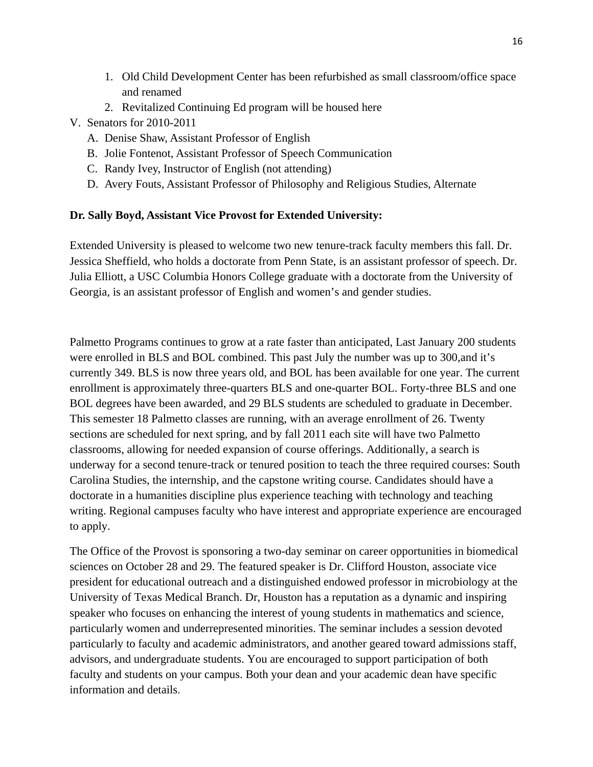- 1. Old Child Development Center has been refurbished as small classroom/office space and renamed
- 2. Revitalized Continuing Ed program will be housed here
- V. Senators for 2010-2011
	- A. Denise Shaw, Assistant Professor of English
	- B. Jolie Fontenot, Assistant Professor of Speech Communication
	- C. Randy Ivey, Instructor of English (not attending)
	- D. Avery Fouts, Assistant Professor of Philosophy and Religious Studies, Alternate

### **Dr. Sally Boyd, Assistant Vice Provost for Extended University:**

Extended University is pleased to welcome two new tenure-track faculty members this fall. Dr. Jessica Sheffield, who holds a doctorate from Penn State, is an assistant professor of speech. Dr. Julia Elliott, a USC Columbia Honors College graduate with a doctorate from the University of Georgia, is an assistant professor of English and women's and gender studies.

Palmetto Programs continues to grow at a rate faster than anticipated, Last January 200 students were enrolled in BLS and BOL combined. This past July the number was up to 300,and it's currently 349. BLS is now three years old, and BOL has been available for one year. The current enrollment is approximately three-quarters BLS and one-quarter BOL. Forty-three BLS and one BOL degrees have been awarded, and 29 BLS students are scheduled to graduate in December. This semester 18 Palmetto classes are running, with an average enrollment of 26. Twenty sections are scheduled for next spring, and by fall 2011 each site will have two Palmetto classrooms, allowing for needed expansion of course offerings. Additionally, a search is underway for a second tenure-track or tenured position to teach the three required courses: South Carolina Studies, the internship, and the capstone writing course. Candidates should have a doctorate in a humanities discipline plus experience teaching with technology and teaching writing. Regional campuses faculty who have interest and appropriate experience are encouraged to apply.

The Office of the Provost is sponsoring a two-day seminar on career opportunities in biomedical sciences on October 28 and 29. The featured speaker is Dr. Clifford Houston, associate vice president for educational outreach and a distinguished endowed professor in microbiology at the University of Texas Medical Branch. Dr, Houston has a reputation as a dynamic and inspiring speaker who focuses on enhancing the interest of young students in mathematics and science, particularly women and underrepresented minorities. The seminar includes a session devoted particularly to faculty and academic administrators, and another geared toward admissions staff, advisors, and undergraduate students. You are encouraged to support participation of both faculty and students on your campus. Both your dean and your academic dean have specific information and details.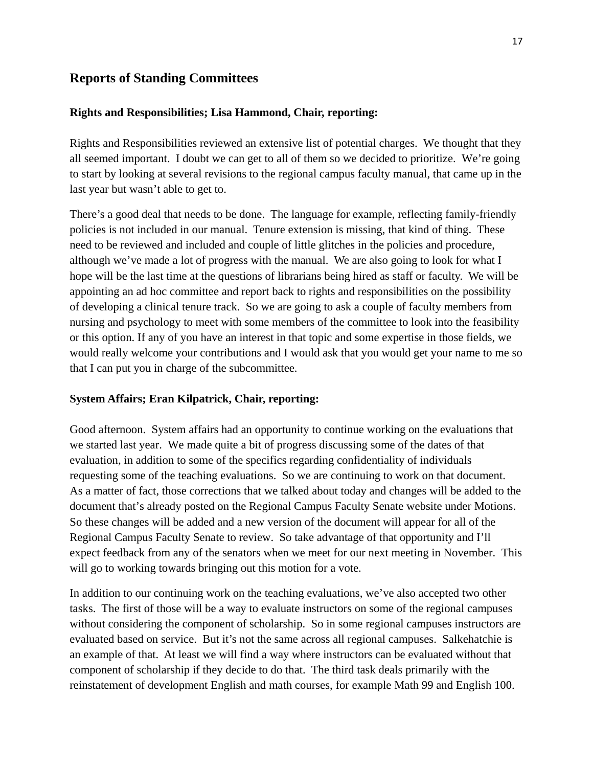# **Reports of Standing Committees**

#### **Rights and Responsibilities; Lisa Hammond, Chair, reporting:**

Rights and Responsibilities reviewed an extensive list of potential charges. We thought that they all seemed important. I doubt we can get to all of them so we decided to prioritize. We're going to start by looking at several revisions to the regional campus faculty manual, that came up in the last year but wasn't able to get to.

There's a good deal that needs to be done. The language for example, reflecting family-friendly policies is not included in our manual. Tenure extension is missing, that kind of thing. These need to be reviewed and included and couple of little glitches in the policies and procedure, although we've made a lot of progress with the manual. We are also going to look for what I hope will be the last time at the questions of librarians being hired as staff or faculty. We will be appointing an ad hoc committee and report back to rights and responsibilities on the possibility of developing a clinical tenure track. So we are going to ask a couple of faculty members from nursing and psychology to meet with some members of the committee to look into the feasibility or this option. If any of you have an interest in that topic and some expertise in those fields, we would really welcome your contributions and I would ask that you would get your name to me so that I can put you in charge of the subcommittee.

#### **System Affairs; Eran Kilpatrick, Chair, reporting:**

Good afternoon. System affairs had an opportunity to continue working on the evaluations that we started last year. We made quite a bit of progress discussing some of the dates of that evaluation, in addition to some of the specifics regarding confidentiality of individuals requesting some of the teaching evaluations. So we are continuing to work on that document. As a matter of fact, those corrections that we talked about today and changes will be added to the document that's already posted on the Regional Campus Faculty Senate website under Motions. So these changes will be added and a new version of the document will appear for all of the Regional Campus Faculty Senate to review. So take advantage of that opportunity and I'll expect feedback from any of the senators when we meet for our next meeting in November. This will go to working towards bringing out this motion for a vote.

In addition to our continuing work on the teaching evaluations, we've also accepted two other tasks. The first of those will be a way to evaluate instructors on some of the regional campuses without considering the component of scholarship. So in some regional campuses instructors are evaluated based on service. But it's not the same across all regional campuses. Salkehatchie is an example of that. At least we will find a way where instructors can be evaluated without that component of scholarship if they decide to do that. The third task deals primarily with the reinstatement of development English and math courses, for example Math 99 and English 100.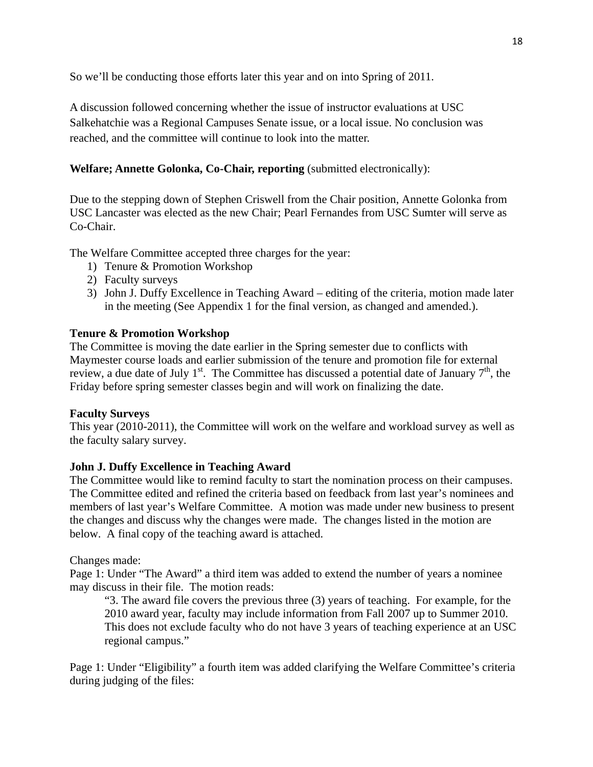So we'll be conducting those efforts later this year and on into Spring of 2011.

A discussion followed concerning whether the issue of instructor evaluations at USC Salkehatchie was a Regional Campuses Senate issue, or a local issue. No conclusion was reached, and the committee will continue to look into the matter.

## Welfare; Annette Golonka, Co-Chair, reporting (submitted electronically):

Due to the stepping down of Stephen Criswell from the Chair position, Annette Golonka from USC Lancaster was elected as the new Chair; Pearl Fernandes from USC Sumter will serve as Co-Chair.

The Welfare Committee accepted three charges for the year:

- 1) Tenure & Promotion Workshop
- 2) Faculty surveys
- 3) John J. Duffy Excellence in Teaching Award editing of the criteria, motion made later in the meeting (See Appendix 1 for the final version, as changed and amended.).

### **Tenure & Promotion Workshop**

The Committee is moving the date earlier in the Spring semester due to conflicts with Maymester course loads and earlier submission of the tenure and promotion file for external review, a due date of July 1<sup>st</sup>. The Committee has discussed a potential date of January  $7<sup>th</sup>$ , the Friday before spring semester classes begin and will work on finalizing the date.

### **Faculty Surveys**

This year (2010-2011), the Committee will work on the welfare and workload survey as well as the faculty salary survey.

## **John J. Duffy Excellence in Teaching Award**

The Committee would like to remind faculty to start the nomination process on their campuses. The Committee edited and refined the criteria based on feedback from last year's nominees and members of last year's Welfare Committee. A motion was made under new business to present the changes and discuss why the changes were made. The changes listed in the motion are below. A final copy of the teaching award is attached.

### Changes made:

Page 1: Under "The Award" a third item was added to extend the number of years a nominee may discuss in their file. The motion reads:

"3. The award file covers the previous three (3) years of teaching. For example, for the 2010 award year, faculty may include information from Fall 2007 up to Summer 2010. This does not exclude faculty who do not have 3 years of teaching experience at an USC regional campus."

Page 1: Under "Eligibility" a fourth item was added clarifying the Welfare Committee's criteria during judging of the files: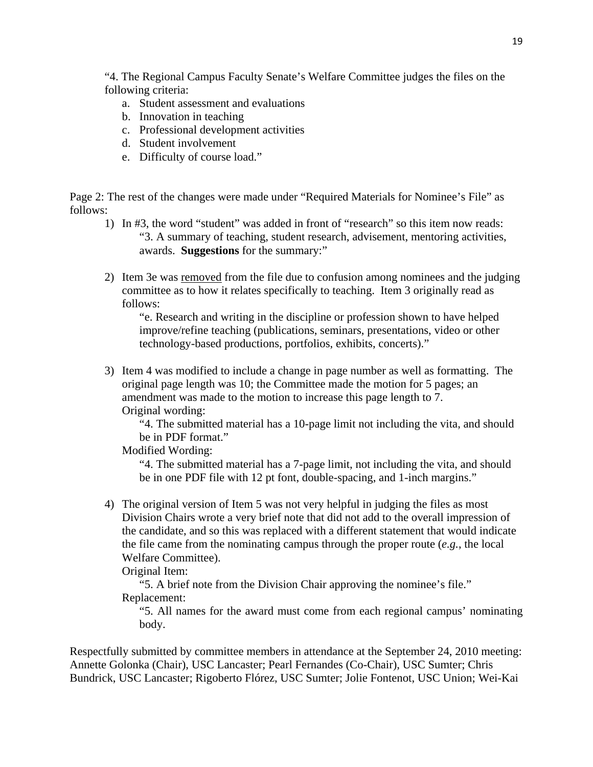"4. The Regional Campus Faculty Senate's Welfare Committee judges the files on the following criteria:

- a. Student assessment and evaluations
- b. Innovation in teaching
- c. Professional development activities
- d. Student involvement
- e. Difficulty of course load."

Page 2: The rest of the changes were made under "Required Materials for Nominee's File" as follows:

- 1) In #3, the word "student" was added in front of "research" so this item now reads: "3. A summary of teaching, student research, advisement, mentoring activities, awards. **Suggestions** for the summary:"
- 2) Item 3e was removed from the file due to confusion among nominees and the judging committee as to how it relates specifically to teaching. Item 3 originally read as follows:

"e. Research and writing in the discipline or profession shown to have helped improve/refine teaching (publications, seminars, presentations, video or other technology-based productions, portfolios, exhibits, concerts)."

3) Item 4 was modified to include a change in page number as well as formatting. The original page length was 10; the Committee made the motion for 5 pages; an amendment was made to the motion to increase this page length to 7. Original wording:

"4. The submitted material has a 10-page limit not including the vita, and should be in PDF format."

Modified Wording:

"4. The submitted material has a 7-page limit, not including the vita, and should be in one PDF file with 12 pt font, double-spacing, and 1-inch margins."

4) The original version of Item 5 was not very helpful in judging the files as most Division Chairs wrote a very brief note that did not add to the overall impression of the candidate, and so this was replaced with a different statement that would indicate the file came from the nominating campus through the proper route (*e.g.*, the local Welfare Committee).

Original Item:

"5. A brief note from the Division Chair approving the nominee's file." Replacement:

"5. All names for the award must come from each regional campus' nominating body.

Respectfully submitted by committee members in attendance at the September 24, 2010 meeting: Annette Golonka (Chair), USC Lancaster; Pearl Fernandes (Co-Chair), USC Sumter; Chris Bundrick, USC Lancaster; Rigoberto Flórez, USC Sumter; Jolie Fontenot, USC Union; Wei-Kai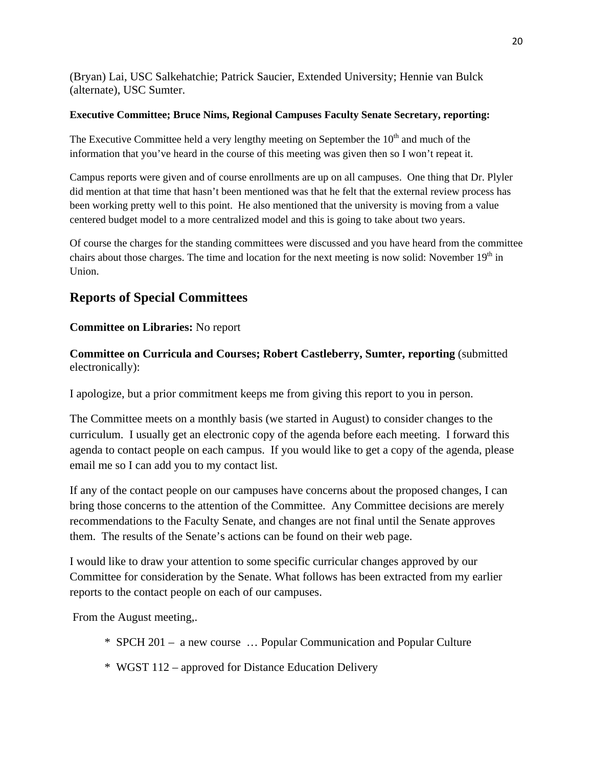(Bryan) Lai, USC Salkehatchie; Patrick Saucier, Extended University; Hennie van Bulck (alternate), USC Sumter.

### **Executive Committee; Bruce Nims, Regional Campuses Faculty Senate Secretary, reporting:**

The Executive Committee held a very lengthy meeting on September the  $10<sup>th</sup>$  and much of the information that you've heard in the course of this meeting was given then so I won't repeat it.

Campus reports were given and of course enrollments are up on all campuses. One thing that Dr. Plyler did mention at that time that hasn't been mentioned was that he felt that the external review process has been working pretty well to this point. He also mentioned that the university is moving from a value centered budget model to a more centralized model and this is going to take about two years.

Of course the charges for the standing committees were discussed and you have heard from the committee chairs about those charges. The time and location for the next meeting is now solid: November  $19<sup>th</sup>$  in Union.

# **Reports of Special Committees**

## **Committee on Libraries:** No report

**Committee on Curricula and Courses; Robert Castleberry, Sumter, reporting** (submitted electronically):

I apologize, but a prior commitment keeps me from giving this report to you in person.

The Committee meets on a monthly basis (we started in August) to consider changes to the curriculum. I usually get an electronic copy of the agenda before each meeting. I forward this agenda to contact people on each campus. If you would like to get a copy of the agenda, please email me so I can add you to my contact list.

If any of the contact people on our campuses have concerns about the proposed changes, I can bring those concerns to the attention of the Committee. Any Committee decisions are merely recommendations to the Faculty Senate, and changes are not final until the Senate approves them. The results of the Senate's actions can be found on their web page.

I would like to draw your attention to some specific curricular changes approved by our Committee for consideration by the Senate. What follows has been extracted from my earlier reports to the contact people on each of our campuses.

From the August meeting,.

- \* SPCH 201 a new course … Popular Communication and Popular Culture
- \* WGST 112 approved for Distance Education Delivery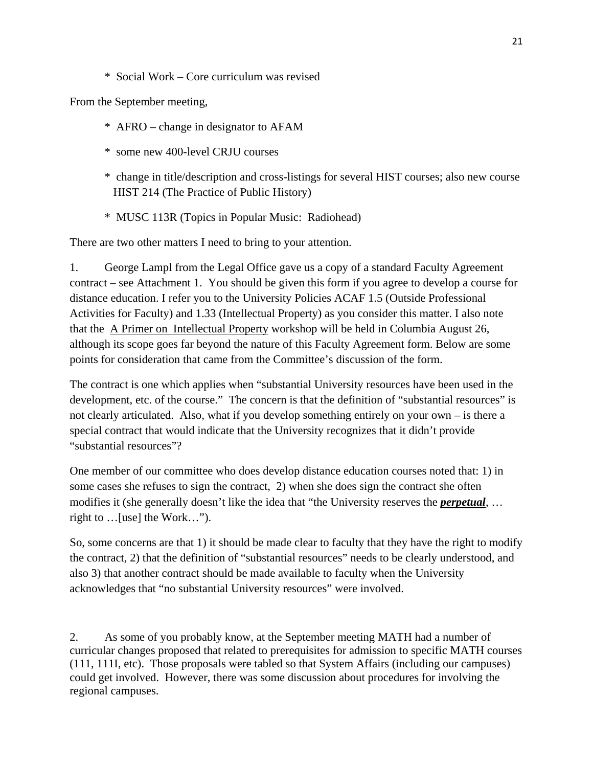\* Social Work – Core curriculum was revised

From the September meeting,

- \* AFRO change in designator to AFAM
- \* some new 400-level CRJU courses
- \* change in title/description and cross-listings for several HIST courses; also new course HIST 214 (The Practice of Public History)
- \* MUSC 113R (Topics in Popular Music: Radiohead)

There are two other matters I need to bring to your attention.

1. George Lampl from the Legal Office gave us a copy of a standard Faculty Agreement contract – see Attachment 1. You should be given this form if you agree to develop a course for distance education. I refer you to the University Policies ACAF 1.5 (Outside Professional Activities for Faculty) and 1.33 (Intellectual Property) as you consider this matter. I also note that the A Primer on Intellectual Property workshop will be held in Columbia August 26, although its scope goes far beyond the nature of this Faculty Agreement form. Below are some points for consideration that came from the Committee's discussion of the form.

The contract is one which applies when "substantial University resources have been used in the development, etc. of the course." The concern is that the definition of "substantial resources" is not clearly articulated. Also, what if you develop something entirely on your own – is there a special contract that would indicate that the University recognizes that it didn't provide "substantial resources"?

One member of our committee who does develop distance education courses noted that: 1) in some cases she refuses to sign the contract, 2) when she does sign the contract she often modifies it (she generally doesn't like the idea that "the University reserves the *perpetual*, … right to …[use] the Work…").

So, some concerns are that 1) it should be made clear to faculty that they have the right to modify the contract, 2) that the definition of "substantial resources" needs to be clearly understood, and also 3) that another contract should be made available to faculty when the University acknowledges that "no substantial University resources" were involved.

2. As some of you probably know, at the September meeting MATH had a number of curricular changes proposed that related to prerequisites for admission to specific MATH courses (111, 111I, etc). Those proposals were tabled so that System Affairs (including our campuses) could get involved. However, there was some discussion about procedures for involving the regional campuses.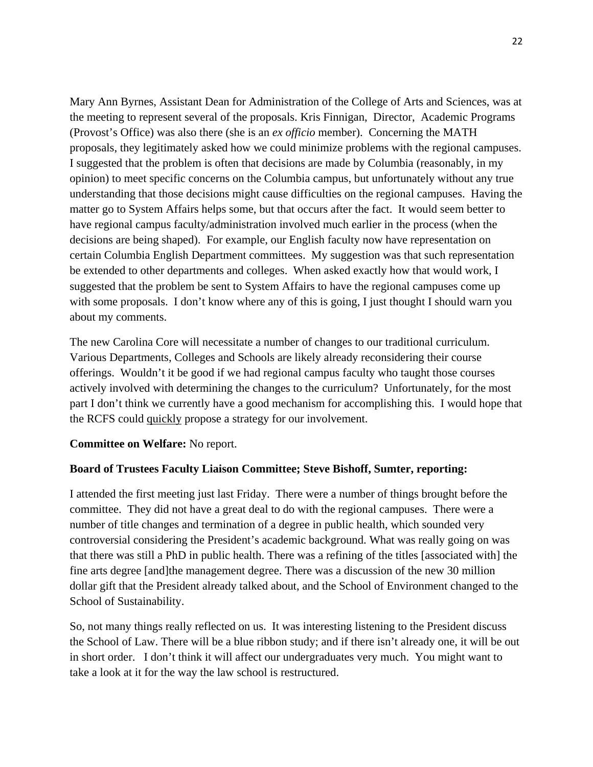Mary Ann Byrnes, Assistant Dean for Administration of the College of Arts and Sciences, was at the meeting to represent several of the proposals. Kris Finnigan, Director, Academic Programs (Provost's Office) was also there (she is an *ex officio* member). Concerning the MATH proposals, they legitimately asked how we could minimize problems with the regional campuses. I suggested that the problem is often that decisions are made by Columbia (reasonably, in my opinion) to meet specific concerns on the Columbia campus, but unfortunately without any true understanding that those decisions might cause difficulties on the regional campuses. Having the matter go to System Affairs helps some, but that occurs after the fact. It would seem better to have regional campus faculty/administration involved much earlier in the process (when the decisions are being shaped). For example, our English faculty now have representation on certain Columbia English Department committees. My suggestion was that such representation be extended to other departments and colleges. When asked exactly how that would work, I suggested that the problem be sent to System Affairs to have the regional campuses come up with some proposals. I don't know where any of this is going, I just thought I should warn you about my comments.

The new Carolina Core will necessitate a number of changes to our traditional curriculum. Various Departments, Colleges and Schools are likely already reconsidering their course offerings. Wouldn't it be good if we had regional campus faculty who taught those courses actively involved with determining the changes to the curriculum? Unfortunately, for the most part I don't think we currently have a good mechanism for accomplishing this. I would hope that the RCFS could quickly propose a strategy for our involvement.

### **Committee on Welfare:** No report.

### **Board of Trustees Faculty Liaison Committee; Steve Bishoff, Sumter, reporting:**

I attended the first meeting just last Friday. There were a number of things brought before the committee. They did not have a great deal to do with the regional campuses. There were a number of title changes and termination of a degree in public health, which sounded very controversial considering the President's academic background. What was really going on was that there was still a PhD in public health. There was a refining of the titles [associated with] the fine arts degree [and]the management degree. There was a discussion of the new 30 million dollar gift that the President already talked about, and the School of Environment changed to the School of Sustainability.

So, not many things really reflected on us. It was interesting listening to the President discuss the School of Law. There will be a blue ribbon study; and if there isn't already one, it will be out in short order. I don't think it will affect our undergraduates very much. You might want to take a look at it for the way the law school is restructured.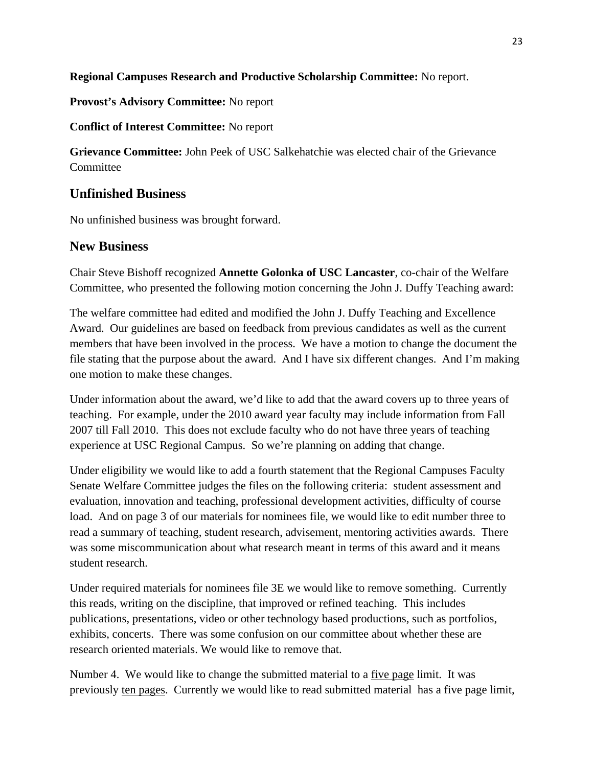## **Regional Campuses Research and Productive Scholarship Committee:** No report.

**Provost's Advisory Committee:** No report

**Conflict of Interest Committee:** No report

**Grievance Committee:** John Peek of USC Salkehatchie was elected chair of the Grievance **Committee** 

# **Unfinished Business**

No unfinished business was brought forward.

# **New Business**

Chair Steve Bishoff recognized **Annette Golonka of USC Lancaster**, co-chair of the Welfare Committee, who presented the following motion concerning the John J. Duffy Teaching award:

The welfare committee had edited and modified the John J. Duffy Teaching and Excellence Award. Our guidelines are based on feedback from previous candidates as well as the current members that have been involved in the process. We have a motion to change the document the file stating that the purpose about the award. And I have six different changes. And I'm making one motion to make these changes.

Under information about the award, we'd like to add that the award covers up to three years of teaching. For example, under the 2010 award year faculty may include information from Fall 2007 till Fall 2010. This does not exclude faculty who do not have three years of teaching experience at USC Regional Campus. So we're planning on adding that change.

Under eligibility we would like to add a fourth statement that the Regional Campuses Faculty Senate Welfare Committee judges the files on the following criteria: student assessment and evaluation, innovation and teaching, professional development activities, difficulty of course load. And on page 3 of our materials for nominees file, we would like to edit number three to read a summary of teaching, student research, advisement, mentoring activities awards. There was some miscommunication about what research meant in terms of this award and it means student research.

Under required materials for nominees file 3E we would like to remove something. Currently this reads, writing on the discipline, that improved or refined teaching. This includes publications, presentations, video or other technology based productions, such as portfolios, exhibits, concerts. There was some confusion on our committee about whether these are research oriented materials. We would like to remove that.

Number 4. We would like to change the submitted material to a <u>five page</u> limit. It was previously ten pages. Currently we would like to read submitted material has a five page limit,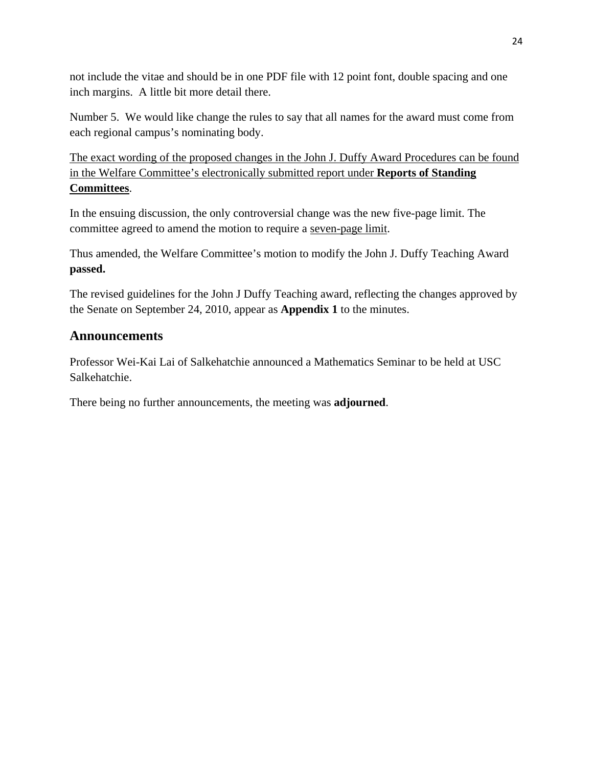not include the vitae and should be in one PDF file with 12 point font, double spacing and one inch margins. A little bit more detail there.

Number 5. We would like change the rules to say that all names for the award must come from each regional campus's nominating body.

The exact wording of the proposed changes in the John J. Duffy Award Procedures can be found in the Welfare Committee's electronically submitted report under **Reports of Standing Committees**.

In the ensuing discussion, the only controversial change was the new five-page limit. The committee agreed to amend the motion to require a seven-page limit.

Thus amended, the Welfare Committee's motion to modify the John J. Duffy Teaching Award **passed.**

The revised guidelines for the John J Duffy Teaching award, reflecting the changes approved by the Senate on September 24, 2010, appear as **Appendix 1** to the minutes.

# **Announcements**

Professor Wei-Kai Lai of Salkehatchie announced a Mathematics Seminar to be held at USC Salkehatchie.

There being no further announcements, the meeting was **adjourned**.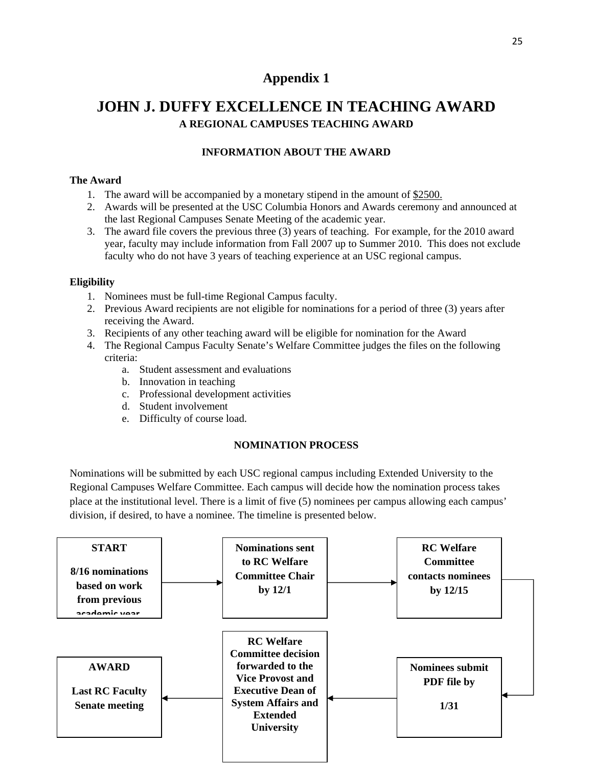# **Appendix 1**

# **JOHN J. DUFFY EXCELLENCE IN TEACHING AWARD A REGIONAL CAMPUSES TEACHING AWARD**

### **INFORMATION ABOUT THE AWARD**

#### **The Award**

- 1. The award will be accompanied by a monetary stipend in the amount of  $$2500$ .
- 2. Awards will be presented at the USC Columbia Honors and Awards ceremony and announced at the last Regional Campuses Senate Meeting of the academic year.
- 3. The award file covers the previous three (3) years of teaching. For example, for the 2010 award year, faculty may include information from Fall 2007 up to Summer 2010. This does not exclude faculty who do not have 3 years of teaching experience at an USC regional campus.

#### **Eligibility**

- 1. Nominees must be full-time Regional Campus faculty.
- 2. Previous Award recipients are not eligible for nominations for a period of three (3) years after receiving the Award.
- 3. Recipients of any other teaching award will be eligible for nomination for the Award
- 4. The Regional Campus Faculty Senate's Welfare Committee judges the files on the following criteria:
	- a. Student assessment and evaluations
	- b. Innovation in teaching
	- c. Professional development activities
	- d. Student involvement
	- e. Difficulty of course load.

#### **NOMINATION PROCESS**

Nominations will be submitted by each USC regional campus including Extended University to the Regional Campuses Welfare Committee. Each campus will decide how the nomination process takes place at the institutional level. There is a limit of five (5) nominees per campus allowing each campus' division, if desired, to have a nominee. The timeline is presented below.